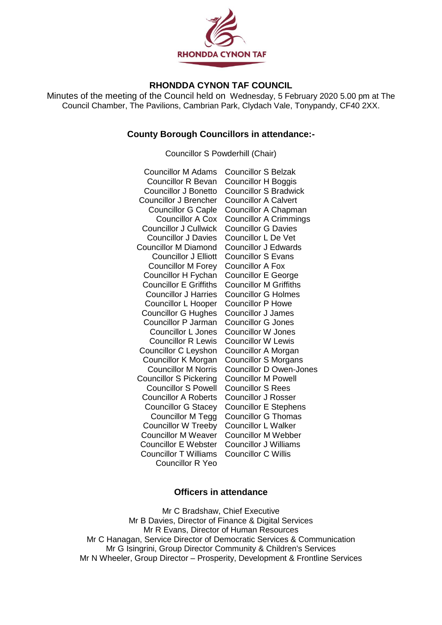

# **RHONDDA CYNON TAF COUNCIL**

Minutes of the meeting of the Council held on Wednesday, 5 February 2020 5.00 pm at The Council Chamber, The Pavilions, Cambrian Park, Clydach Vale, Tonypandy, CF40 2XX.

# **County Borough Councillors in attendance:-**

Councillor S Powderhill (Chair)

| <b>Councillor M Adams</b>     | <b>Councillor S Belzak</b>     |
|-------------------------------|--------------------------------|
| <b>Councillor R Bevan</b>     | Councillor H Boggis            |
| <b>Councillor J Bonetto</b>   | <b>Councillor S Bradwick</b>   |
| <b>Councillor J Brencher</b>  | <b>Councillor A Calvert</b>    |
| <b>Councillor G Caple</b>     | Councillor A Chapman           |
| <b>Councillor A Cox</b>       | <b>Councillor A Crimmings</b>  |
| <b>Councillor J Cullwick</b>  | <b>Councillor G Davies</b>     |
| <b>Councillor J Davies</b>    | <b>Councillor L De Vet</b>     |
| <b>Councillor M Diamond</b>   | <b>Councillor J Edwards</b>    |
| <b>Councillor J Elliott</b>   | <b>Councillor S Evans</b>      |
| <b>Councillor M Forey</b>     | <b>Councillor A Fox</b>        |
| Councillor H Fychan           | <b>Councillor E George</b>     |
| <b>Councillor E Griffiths</b> | <b>Councillor M Griffiths</b>  |
| <b>Councillor J Harries</b>   | <b>Councillor G Holmes</b>     |
| Councillor L Hooper           | <b>Councillor P Howe</b>       |
| <b>Councillor G Hughes</b>    | <b>Councillor J James</b>      |
| <b>Councillor P Jarman</b>    | <b>Councillor G Jones</b>      |
| <b>Councillor L Jones</b>     | <b>Councillor W Jones</b>      |
| <b>Councillor R Lewis</b>     | <b>Councillor W Lewis</b>      |
| Councillor C Leyshon          | <b>Councillor A Morgan</b>     |
| Councillor K Morgan           | <b>Councillor S Morgans</b>    |
| <b>Councillor M Norris</b>    | <b>Councillor D Owen-Jones</b> |
| <b>Councillor S Pickering</b> | <b>Councillor M Powell</b>     |
| <b>Councillor S Powell</b>    | <b>Councillor S Rees</b>       |
| <b>Councillor A Roberts</b>   | <b>Councillor J Rosser</b>     |
| <b>Councillor G Stacey</b>    | <b>Councillor E Stephens</b>   |
| <b>Councillor M Tegg</b>      | <b>Councillor G Thomas</b>     |
| <b>Councillor W Treeby</b>    | <b>Councillor L Walker</b>     |
| <b>Councillor M Weaver</b>    | <b>Councillor M Webber</b>     |
| <b>Councillor E Webster</b>   | Councillor J Williams          |
| <b>Councillor T Williams</b>  | <b>Councillor C Willis</b>     |
| <b>Councillor R Yeo</b>       |                                |

# **Officers in attendance**

Mr C Bradshaw, Chief Executive Mr B Davies, Director of Finance & Digital Services Mr R Evans, Director of Human Resources Mr C Hanagan, Service Director of Democratic Services & Communication Mr G Isingrini, Group Director Community & Children's Services Mr N Wheeler, Group Director – Prosperity, Development & Frontline Services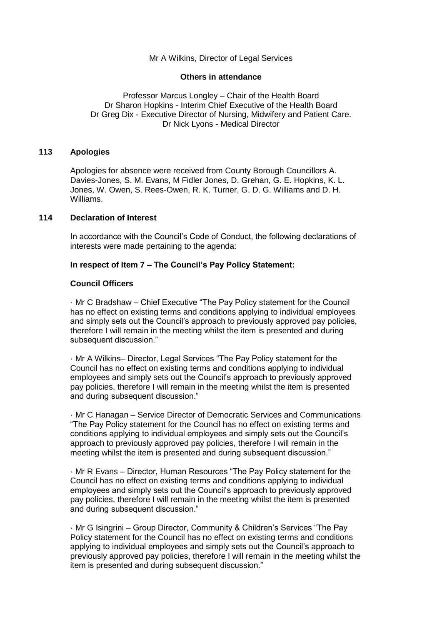# Mr A Wilkins, Director of Legal Services

# **Others in attendance**

Professor Marcus Longley – Chair of the Health Board Dr Sharon Hopkins - Interim Chief Executive of the Health Board Dr Greg Dix - Executive Director of Nursing, Midwifery and Patient Care. Dr Nick Lyons - Medical Director

# **113 Apologies**

Apologies for absence were received from County Borough Councillors A. Davies-Jones, S. M. Evans, M Fidler Jones, D. Grehan, G. E. Hopkins, K. L. Jones, W. Owen, S. Rees-Owen, R. K. Turner, G. D. G. Williams and D. H. Williams.

# **114 Declaration of Interest**

In accordance with the Council's Code of Conduct, the following declarations of interests were made pertaining to the agenda:

# **In respect of Item 7 – The Council's Pay Policy Statement:**

# **Council Officers**

· Mr C Bradshaw – Chief Executive "The Pay Policy statement for the Council has no effect on existing terms and conditions applying to individual employees and simply sets out the Council's approach to previously approved pay policies, therefore I will remain in the meeting whilst the item is presented and during subsequent discussion."

· Mr A Wilkins– Director, Legal Services "The Pay Policy statement for the Council has no effect on existing terms and conditions applying to individual employees and simply sets out the Council's approach to previously approved pay policies, therefore I will remain in the meeting whilst the item is presented and during subsequent discussion."

· Mr C Hanagan – Service Director of Democratic Services and Communications "The Pay Policy statement for the Council has no effect on existing terms and conditions applying to individual employees and simply sets out the Council's approach to previously approved pay policies, therefore I will remain in the meeting whilst the item is presented and during subsequent discussion."

· Mr R Evans – Director, Human Resources "The Pay Policy statement for the Council has no effect on existing terms and conditions applying to individual employees and simply sets out the Council's approach to previously approved pay policies, therefore I will remain in the meeting whilst the item is presented and during subsequent discussion."

· Mr G Isingrini – Group Director, Community & Children's Services "The Pay Policy statement for the Council has no effect on existing terms and conditions applying to individual employees and simply sets out the Council's approach to previously approved pay policies, therefore I will remain in the meeting whilst the item is presented and during subsequent discussion."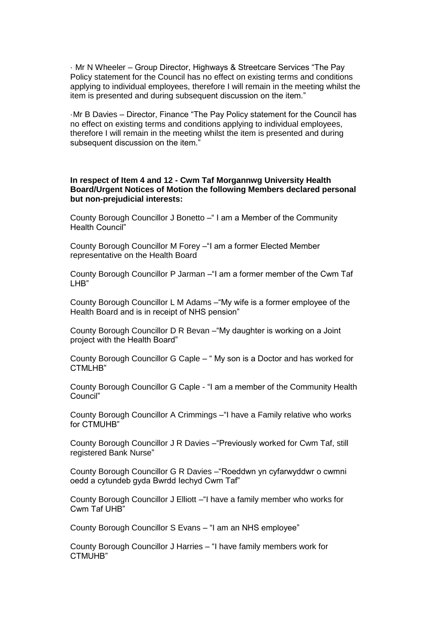· Mr N Wheeler – Group Director, Highways & Streetcare Services "The Pay Policy statement for the Council has no effect on existing terms and conditions applying to individual employees, therefore I will remain in the meeting whilst the item is presented and during subsequent discussion on the item."

·Mr B Davies – Director, Finance "The Pay Policy statement for the Council has no effect on existing terms and conditions applying to individual employees, therefore I will remain in the meeting whilst the item is presented and during subsequent discussion on the item."

# **In respect of Item 4 and 12 - Cwm Taf Morgannwg University Health Board/Urgent Notices of Motion the following Members declared personal but non-prejudicial interests:**

County Borough Councillor J Bonetto –" I am a Member of the Community Health Council"

County Borough Councillor M Forey –"I am a former Elected Member representative on the Health Board

County Borough Councillor P Jarman –"I am a former member of the Cwm Taf LHB"

County Borough Councillor L M Adams –"My wife is a former employee of the Health Board and is in receipt of NHS pension"

County Borough Councillor D R Bevan –"My daughter is working on a Joint project with the Health Board"

County Borough Councillor G Caple – " My son is a Doctor and has worked for CTMLHB"

County Borough Councillor G Caple - "I am a member of the Community Health Council"

County Borough Councillor A Crimmings –"I have a Family relative who works for CTMUHB"

County Borough Councillor J R Davies –"Previously worked for Cwm Taf, still registered Bank Nurse"

County Borough Councillor G R Davies –"Roeddwn yn cyfarwyddwr o cwmni oedd a cytundeb gyda Bwrdd Iechyd Cwm Taf"

County Borough Councillor J Elliott –"I have a family member who works for Cwm Taf UHB"

County Borough Councillor S Evans – "I am an NHS employee"

County Borough Councillor J Harries – "I have family members work for CTMUHB"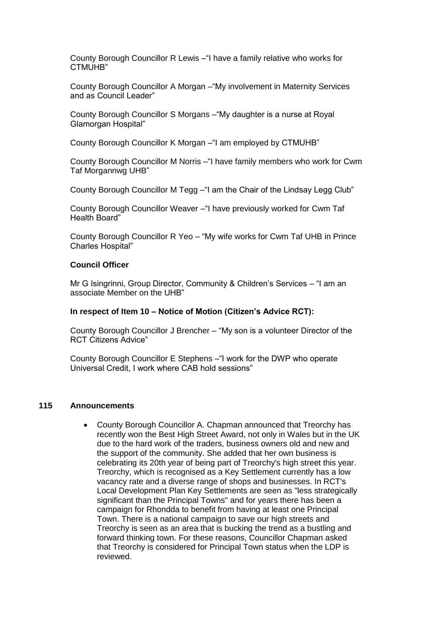County Borough Councillor R Lewis –"I have a family relative who works for CTMUH<sub>B</sub>"

County Borough Councillor A Morgan –"My involvement in Maternity Services and as Council Leader"

County Borough Councillor S Morgans –"My daughter is a nurse at Royal Glamorgan Hospital"

County Borough Councillor K Morgan –"I am employed by CTMUHB"

County Borough Councillor M Norris –"I have family members who work for Cwm Taf Morgannwg UHB"

County Borough Councillor M Tegg –"I am the Chair of the Lindsay Legg Club"

County Borough Councillor Weaver –"I have previously worked for Cwm Taf Health Board"

County Borough Councillor R Yeo – "My wife works for Cwm Taf UHB in Prince Charles Hospital"

#### **Council Officer**

Mr G Isingrinni, Group Director, Community & Children's Services – "I am an associate Member on the UHB"

#### **In respect of Item 10 – Notice of Motion (Citizen's Advice RCT):**

County Borough Councillor J Brencher – "My son is a volunteer Director of the RCT Citizens Advice"

County Borough Councillor E Stephens –"I work for the DWP who operate Universal Credit, I work where CAB hold sessions"

### **115 Announcements**

• County Borough Councillor A. Chapman announced that Treorchy has recently won the Best High Street Award, not only in Wales but in the UK due to the hard work of the traders, business owners old and new and the support of the community. She added that her own business is celebrating its 20th year of being part of Treorchy's high street this year. Treorchy, which is recognised as a Key Settlement currently has a low vacancy rate and a diverse range of shops and businesses. In RCT's Local Development Plan Key Settlements are seen as "less strategically significant than the Principal Towns" and for years there has been a campaign for Rhondda to benefit from having at least one Principal Town. There is a national campaign to save our high streets and Treorchy is seen as an area that is bucking the trend as a bustling and forward thinking town. For these reasons, Councillor Chapman asked that Treorchy is considered for Principal Town status when the LDP is reviewed.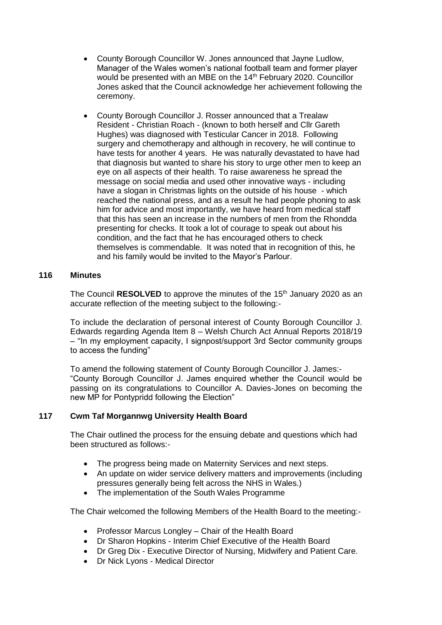- County Borough Councillor W. Jones announced that Jayne Ludlow, Manager of the Wales women's national football team and former player would be presented with an MBE on the 14<sup>th</sup> February 2020. Councillor Jones asked that the Council acknowledge her achievement following the ceremony.
- County Borough Councillor J. Rosser announced that a Trealaw Resident - Christian Roach - (known to both herself and Cllr Gareth Hughes) was diagnosed with Testicular Cancer in 2018. Following surgery and chemotherapy and although in recovery, he will continue to have tests for another 4 years. He was naturally devastated to have had that diagnosis but wanted to share his story to urge other men to keep an eye on all aspects of their health. To raise awareness he spread the message on social media and used other innovative ways - including have a slogan in Christmas lights on the outside of his house - which reached the national press, and as a result he had people phoning to ask him for advice and most importantly, we have heard from medical staff that this has seen an increase in the numbers of men from the Rhondda presenting for checks. It took a lot of courage to speak out about his condition, and the fact that he has encouraged others to check themselves is commendable. It was noted that in recognition of this, he and his family would be invited to the Mayor's Parlour.

# **116 Minutes**

The Council **RESOLVED** to approve the minutes of the 15<sup>th</sup> January 2020 as an accurate reflection of the meeting subject to the following:-

To include the declaration of personal interest of County Borough Councillor J. Edwards regarding Agenda Item 8 – Welsh Church Act Annual Reports 2018/19 – "In my employment capacity, I signpost/support 3rd Sector community groups to access the funding"

To amend the following statement of County Borough Councillor J. James:- "County Borough Councillor J. James enquired whether the Council would be passing on its congratulations to Councillor A. Davies-Jones on becoming the new MP for Pontypridd following the Election"

# **117 Cwm Taf Morgannwg University Health Board**

The Chair outlined the process for the ensuing debate and questions which had been structured as follows:-

- The progress being made on Maternity Services and next steps.
- An update on wider service delivery matters and improvements (including pressures generally being felt across the NHS in Wales.)
- The implementation of the South Wales Programme

The Chair welcomed the following Members of the Health Board to the meeting:-

- Professor Marcus Longley Chair of the Health Board
- Dr Sharon Hopkins Interim Chief Executive of the Health Board
- Dr Greg Dix Executive Director of Nursing, Midwifery and Patient Care.
- Dr Nick Lyons Medical Director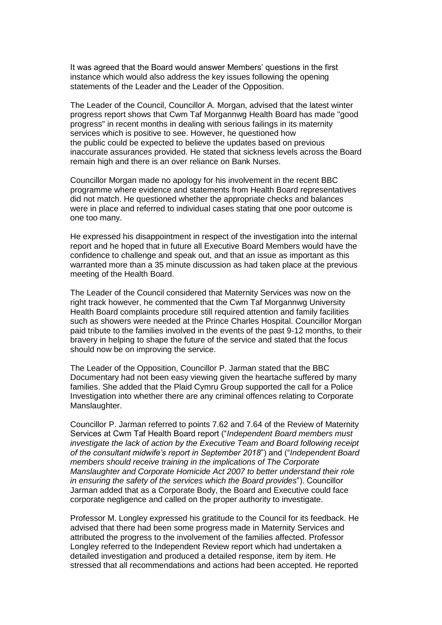It was agreed that the Board would answer Members' questions in the first instance which would also address the key issues following the opening statements of the Leader and the Leader of the Opposition.

The Leader of the Council, Councillor A. Morgan, advised that the latest winter progress report shows that Cwm Taf Morgannwg Health Board has made "good progress" in recent months in dealing with serious failings in its maternity services which is positive to see. However, he questioned how the public could be expected to believe the updates based on previous inaccurate assurances provided. He stated that sickness levels across the Board remain high and there is an over reliance on Bank Nurses.

Councillor Morgan made no apology for his involvement in the recent BBC programme where evidence and statements from Health Board representatives did not match. He questioned whether the appropriate checks and balances were in place and referred to individual cases stating that one poor outcome is one too many.

He expressed his disappointment in respect of the investigation into the internal report and he hoped that in future all Executive Board Members would have the confidence to challenge and speak out, and that an issue as important as this warranted more than a 35 minute discussion as had taken place at the previous meeting of the Health Board.

The Leader of the Council considered that Maternity Services was now on the right track however, he commented that the Cwm Taf Morgannwg University Health Board complaints procedure still required attention and family facilities such as showers were needed at the Prince Charles Hospital. Councillor Morgan paid tribute to the families involved in the events of the past 9-12 months, to their bravery in helping to shape the future of the service and stated that the focus should now be on improving the service.

The Leader of the Opposition, Councillor P. Jarman stated that the BBC Documentary had not been easy viewing given the heartache suffered by many families. She added that the Plaid Cymru Group supported the call for a Police Investigation into whether there are any criminal offences relating to Corporate Manslaughter.

Councillor P. Jarman referred to points 7.62 and 7.64 of the Review of Maternity Services at Cwm Taf Health Board report ("*Independent Board members must investigate the lack of action by the Executive Team and Board following receipt of the consultant midwife's report in September 2018*") and ("*Independent Board members should receive training in the implications of The Corporate Manslaughter and Corporate Homicide Act 2007 to better understand their role in ensuring the safety of the services which the Board provides*"). Councillor Jarman added that as a Corporate Body, the Board and Executive could face corporate negligence and called on the proper authority to investigate.

Professor M. Longley expressed his gratitude to the Council for its feedback. He advised that there had been some progress made in Maternity Services and attributed the progress to the involvement of the families affected. Professor Longley referred to the Independent Review report which had undertaken a detailed investigation and produced a detailed response, item by item. He stressed that all recommendations and actions had been accepted. He reported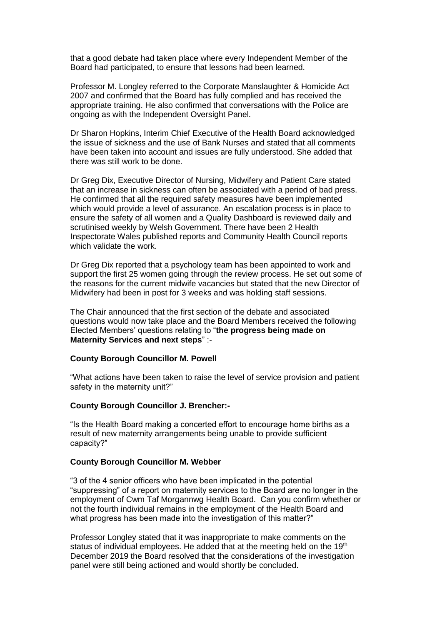that a good debate had taken place where every Independent Member of the Board had participated, to ensure that lessons had been learned.

Professor M. Longley referred to the Corporate Manslaughter & Homicide Act 2007 and confirmed that the Board has fully complied and has received the appropriate training. He also confirmed that conversations with the Police are ongoing as with the Independent Oversight Panel.

Dr Sharon Hopkins, Interim Chief Executive of the Health Board acknowledged the issue of sickness and the use of Bank Nurses and stated that all comments have been taken into account and issues are fully understood. She added that there was still work to be done.

Dr Greg Dix, Executive Director of Nursing, Midwifery and Patient Care stated that an increase in sickness can often be associated with a period of bad press. He confirmed that all the required safety measures have been implemented which would provide a level of assurance. An escalation process is in place to ensure the safety of all women and a Quality Dashboard is reviewed daily and scrutinised weekly by Welsh Government. There have been 2 Health Inspectorate Wales published reports and Community Health Council reports which validate the work.

Dr Greg Dix reported that a psychology team has been appointed to work and support the first 25 women going through the review process. He set out some of the reasons for the current midwife vacancies but stated that the new Director of Midwifery had been in post for 3 weeks and was holding staff sessions.

The Chair announced that the first section of the debate and associated questions would now take place and the Board Members received the following Elected Members' questions relating to "**the progress being made on Maternity Services and next steps**" :-

## **County Borough Councillor M. Powell**

"What actions have been taken to raise the level of service provision and patient safety in the maternity unit?"

#### **County Borough Councillor J. Brencher:-**

"Is the Health Board making a concerted effort to encourage home births as a result of new maternity arrangements being unable to provide sufficient capacity?"

#### **County Borough Councillor M. Webber**

"3 of the 4 senior officers who have been implicated in the potential "suppressing" of a report on maternity services to the Board are no longer in the employment of Cwm Taf Morgannwg Health Board. Can you confirm whether or not the fourth individual remains in the employment of the Health Board and what progress has been made into the investigation of this matter?"

Professor Longley stated that it was inappropriate to make comments on the status of individual employees. He added that at the meeting held on the 19<sup>th</sup> December 2019 the Board resolved that the considerations of the investigation panel were still being actioned and would shortly be concluded.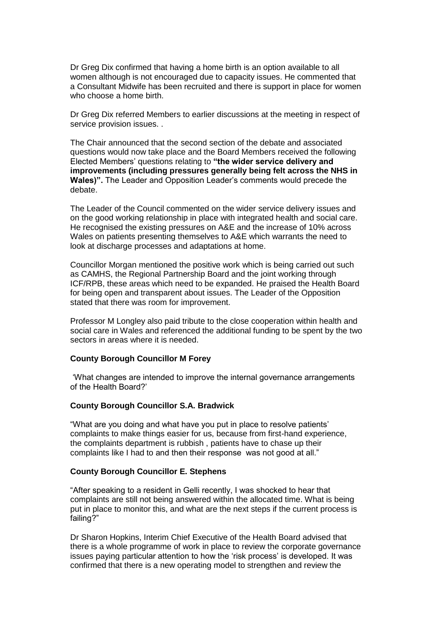Dr Greg Dix confirmed that having a home birth is an option available to all women although is not encouraged due to capacity issues. He commented that a Consultant Midwife has been recruited and there is support in place for women who choose a home birth.

Dr Greg Dix referred Members to earlier discussions at the meeting in respect of service provision issues. .

The Chair announced that the second section of the debate and associated questions would now take place and the Board Members received the following Elected Members' questions relating to **"the wider service delivery and improvements (including pressures generally being felt across the NHS in Wales)".** The Leader and Opposition Leader's comments would precede the debate.

The Leader of the Council commented on the wider service delivery issues and on the good working relationship in place with integrated health and social care. He recognised the existing pressures on A&E and the increase of 10% across Wales on patients presenting themselves to A&E which warrants the need to look at discharge processes and adaptations at home.

Councillor Morgan mentioned the positive work which is being carried out such as CAMHS, the Regional Partnership Board and the joint working through ICF/RPB, these areas which need to be expanded. He praised the Health Board for being open and transparent about issues. The Leader of the Opposition stated that there was room for improvement.

Professor M Longley also paid tribute to the close cooperation within health and social care in Wales and referenced the additional funding to be spent by the two sectors in areas where it is needed.

## **County Borough Councillor M Forey**

'What changes are intended to improve the internal governance arrangements of the Health Board?'

#### **County Borough Councillor S.A. Bradwick**

"What are you doing and what have you put in place to resolve patients' complaints to make things easier for us, because from first-hand experience, the complaints department is rubbish , patients have to chase up their complaints like I had to and then their response was not good at all."

#### **County Borough Councillor E. Stephens**

"After speaking to a resident in Gelli recently, I was shocked to hear that complaints are still not being answered within the allocated time. What is being put in place to monitor this, and what are the next steps if the current process is failing?"

Dr Sharon Hopkins, Interim Chief Executive of the Health Board advised that there is a whole programme of work in place to review the corporate governance issues paying particular attention to how the 'risk process' is developed. It was confirmed that there is a new operating model to strengthen and review the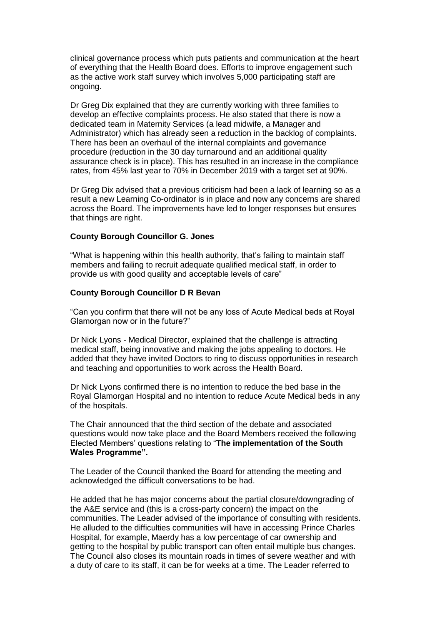clinical governance process which puts patients and communication at the heart of everything that the Health Board does. Efforts to improve engagement such as the active work staff survey which involves 5,000 participating staff are ongoing.

Dr Greg Dix explained that they are currently working with three families to develop an effective complaints process. He also stated that there is now a dedicated team in Maternity Services (a lead midwife, a Manager and Administrator) which has already seen a reduction in the backlog of complaints. There has been an overhaul of the internal complaints and governance procedure (reduction in the 30 day turnaround and an additional quality assurance check is in place). This has resulted in an increase in the compliance rates, from 45% last year to 70% in December 2019 with a target set at 90%.

Dr Greg Dix advised that a previous criticism had been a lack of learning so as a result a new Learning Co-ordinator is in place and now any concerns are shared across the Board. The improvements have led to longer responses but ensures that things are right.

#### **County Borough Councillor G. Jones**

"What is happening within this health authority, that's failing to maintain staff members and failing to recruit adequate qualified medical staff, in order to provide us with good quality and acceptable levels of care"

#### **County Borough Councillor D R Bevan**

"Can you confirm that there will not be any loss of Acute Medical beds at Royal Glamorgan now or in the future?"

Dr Nick Lyons - Medical Director, explained that the challenge is attracting medical staff, being innovative and making the jobs appealing to doctors. He added that they have invited Doctors to ring to discuss opportunities in research and teaching and opportunities to work across the Health Board.

Dr Nick Lyons confirmed there is no intention to reduce the bed base in the Royal Glamorgan Hospital and no intention to reduce Acute Medical beds in any of the hospitals.

The Chair announced that the third section of the debate and associated questions would now take place and the Board Members received the following Elected Members' questions relating to "**The implementation of the South Wales Programme".**

The Leader of the Council thanked the Board for attending the meeting and acknowledged the difficult conversations to be had.

He added that he has major concerns about the partial closure/downgrading of the A&E service and (this is a cross-party concern) the impact on the communities. The Leader advised of the importance of consulting with residents. He alluded to the difficulties communities will have in accessing Prince Charles Hospital, for example, Maerdy has a low percentage of car ownership and getting to the hospital by public transport can often entail multiple bus changes. The Council also closes its mountain roads in times of severe weather and with a duty of care to its staff, it can be for weeks at a time. The Leader referred to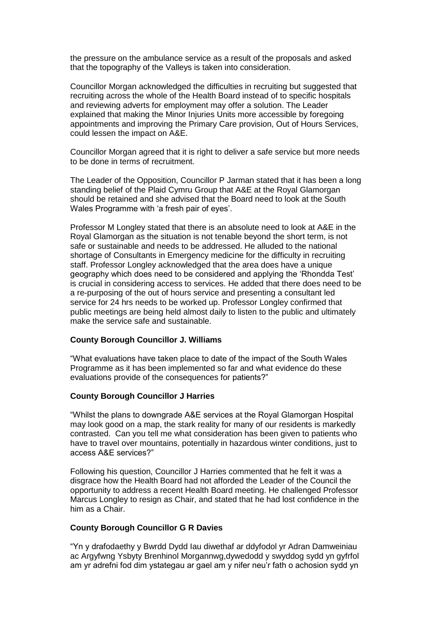the pressure on the ambulance service as a result of the proposals and asked that the topography of the Valleys is taken into consideration.

Councillor Morgan acknowledged the difficulties in recruiting but suggested that recruiting across the whole of the Health Board instead of to specific hospitals and reviewing adverts for employment may offer a solution. The Leader explained that making the Minor Injuries Units more accessible by foregoing appointments and improving the Primary Care provision, Out of Hours Services, could lessen the impact on A&E.

Councillor Morgan agreed that it is right to deliver a safe service but more needs to be done in terms of recruitment.

The Leader of the Opposition, Councillor P Jarman stated that it has been a long standing belief of the Plaid Cymru Group that A&E at the Royal Glamorgan should be retained and she advised that the Board need to look at the South Wales Programme with 'a fresh pair of eyes'.

Professor M Longley stated that there is an absolute need to look at A&E in the Royal Glamorgan as the situation is not tenable beyond the short term, is not safe or sustainable and needs to be addressed. He alluded to the national shortage of Consultants in Emergency medicine for the difficulty in recruiting staff. Professor Longley acknowledged that the area does have a unique geography which does need to be considered and applying the 'Rhondda Test' is crucial in considering access to services. He added that there does need to be a re-purposing of the out of hours service and presenting a consultant led service for 24 hrs needs to be worked up. Professor Longley confirmed that public meetings are being held almost daily to listen to the public and ultimately make the service safe and sustainable.

#### **County Borough Councillor J. Williams**

"What evaluations have taken place to date of the impact of the South Wales Programme as it has been implemented so far and what evidence do these evaluations provide of the consequences for patients?"

#### **County Borough Councillor J Harries**

"Whilst the plans to downgrade A&E services at the Royal Glamorgan Hospital may look good on a map, the stark reality for many of our residents is markedly contrasted. Can you tell me what consideration has been given to patients who have to travel over mountains, potentially in hazardous winter conditions, just to access A&E services?"

Following his question, Councillor J Harries commented that he felt it was a disgrace how the Health Board had not afforded the Leader of the Council the opportunity to address a recent Health Board meeting. He challenged Professor Marcus Longley to resign as Chair, and stated that he had lost confidence in the him as a Chair.

### **County Borough Councillor G R Davies**

"Yn y drafodaethy y Bwrdd Dydd Iau diwethaf ar ddyfodol yr Adran Damweiniau ac Argyfwng Ysbyty Brenhinol Morgannwg,dywedodd y swyddog sydd yn gyfrfol am yr adrefni fod dim ystategau ar gael am y nifer neu'r fath o achosion sydd yn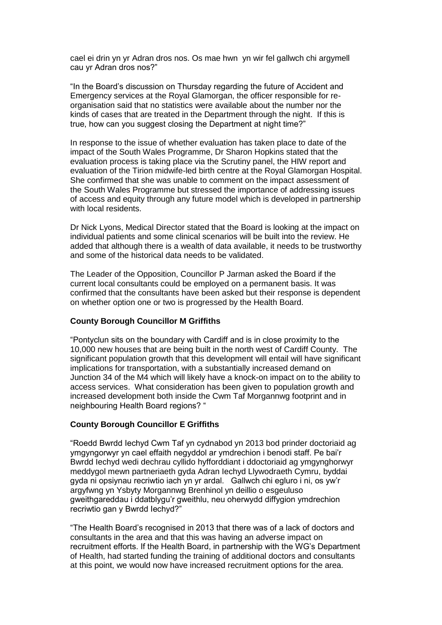cael ei drin yn yr Adran dros nos. Os mae hwn yn wir fel gallwch chi argymell cau yr Adran dros nos?"

"In the Board's discussion on Thursday regarding the future of Accident and Emergency services at the Royal Glamorgan, the officer responsible for reorganisation said that no statistics were available about the number nor the kinds of cases that are treated in the Department through the night. If this is true, how can you suggest closing the Department at night time?"

In response to the issue of whether evaluation has taken place to date of the impact of the South Wales Programme, Dr Sharon Hopkins stated that the evaluation process is taking place via the Scrutiny panel, the HIW report and evaluation of the Tirion midwife-led birth centre at the Royal Glamorgan Hospital. She confirmed that she was unable to comment on the impact assessment of the South Wales Programme but stressed the importance of addressing issues of access and equity through any future model which is developed in partnership with local residents.

Dr Nick Lyons, Medical Director stated that the Board is looking at the impact on individual patients and some clinical scenarios will be built into the review. He added that although there is a wealth of data available, it needs to be trustworthy and some of the historical data needs to be validated.

The Leader of the Opposition, Councillor P Jarman asked the Board if the current local consultants could be employed on a permanent basis. It was confirmed that the consultants have been asked but their response is dependent on whether option one or two is progressed by the Health Board.

## **County Borough Councillor M Griffiths**

"Pontyclun sits on the boundary with Cardiff and is in close proximity to the 10,000 new houses that are being built in the north west of Cardiff County. The significant population growth that this development will entail will have significant implications for transportation, with a substantially increased demand on Junction 34 of the M4 which will likely have a knock-on impact on to the ability to access services. What consideration has been given to population growth and increased development both inside the Cwm Taf Morgannwg footprint and in neighbouring Health Board regions? "

## **County Borough Councillor E Griffiths**

"Roedd Bwrdd Iechyd Cwm Taf yn cydnabod yn 2013 bod prinder doctoriaid ag ymgyngorwyr yn cael effaith negyddol ar ymdrechion i benodi staff. Pe bai'r Bwrdd Iechyd wedi dechrau cyllido hyfforddiant i ddoctoriaid ag ymgynghorwyr meddygol mewn partneriaeth gyda Adran Iechyd Llywodraeth Cymru, byddai gyda ni opsiynau recriwtio iach yn yr ardal. Gallwch chi egluro i ni, os yw'r argyfwng yn Ysbyty Morgannwg Brenhinol yn deillio o esgeuluso gweithgareddau i ddatblygu'r gweithlu, neu oherwydd diffygion ymdrechion recriwtio gan y Bwrdd Iechyd?"

"The Health Board's recognised in 2013 that there was of a lack of doctors and consultants in the area and that this was having an adverse impact on recruitment efforts. If the Health Board, in partnership with the WG's Department of Health, had started funding the training of additional doctors and consultants at this point, we would now have increased recruitment options for the area.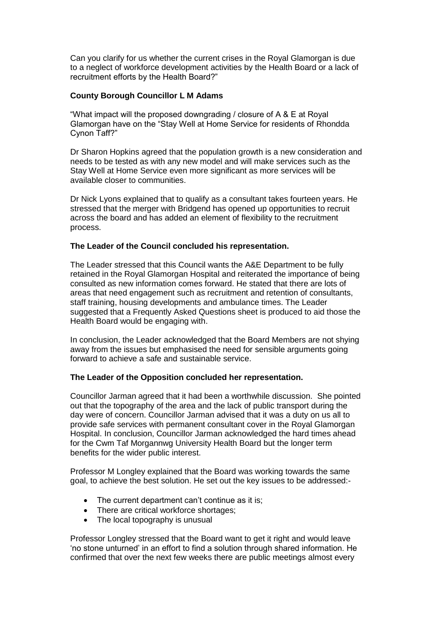Can you clarify for us whether the current crises in the Royal Glamorgan is due to a neglect of workforce development activities by the Health Board or a lack of recruitment efforts by the Health Board?"

# **County Borough Councillor L M Adams**

"What impact will the proposed downgrading / closure of A & E at Royal Glamorgan have on the "Stay Well at Home Service for residents of Rhondda Cynon Taff?"

Dr Sharon Hopkins agreed that the population growth is a new consideration and needs to be tested as with any new model and will make services such as the Stay Well at Home Service even more significant as more services will be available closer to communities.

Dr Nick Lyons explained that to qualify as a consultant takes fourteen years. He stressed that the merger with Bridgend has opened up opportunities to recruit across the board and has added an element of flexibility to the recruitment process.

# **The Leader of the Council concluded his representation.**

The Leader stressed that this Council wants the A&E Department to be fully retained in the Royal Glamorgan Hospital and reiterated the importance of being consulted as new information comes forward. He stated that there are lots of areas that need engagement such as recruitment and retention of consultants, staff training, housing developments and ambulance times. The Leader suggested that a Frequently Asked Questions sheet is produced to aid those the Health Board would be engaging with.

In conclusion, the Leader acknowledged that the Board Members are not shying away from the issues but emphasised the need for sensible arguments going forward to achieve a safe and sustainable service.

## **The Leader of the Opposition concluded her representation.**

Councillor Jarman agreed that it had been a worthwhile discussion. She pointed out that the topography of the area and the lack of public transport during the day were of concern. Councillor Jarman advised that it was a duty on us all to provide safe services with permanent consultant cover in the Royal Glamorgan Hospital. In conclusion, Councillor Jarman acknowledged the hard times ahead for the Cwm Taf Morgannwg University Health Board but the longer term benefits for the wider public interest.

Professor M Longley explained that the Board was working towards the same goal, to achieve the best solution. He set out the key issues to be addressed:-

- The current department can't continue as it is;
- There are critical workforce shortages;
- The local topography is unusual

Professor Longley stressed that the Board want to get it right and would leave 'no stone unturned' in an effort to find a solution through shared information. He confirmed that over the next few weeks there are public meetings almost every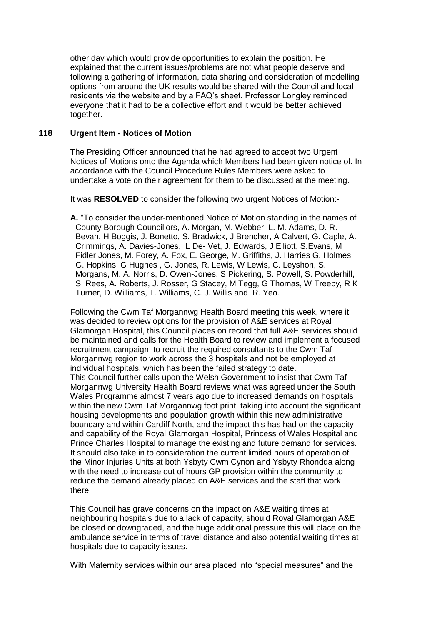other day which would provide opportunities to explain the position. He explained that the current issues/problems are not what people deserve and following a gathering of information, data sharing and consideration of modelling options from around the UK results would be shared with the Council and local residents via the website and by a FAQ's sheet. Professor Longley reminded everyone that it had to be a collective effort and it would be better achieved together.

# **118 Urgent Item - Notices of Motion**

The Presiding Officer announced that he had agreed to accept two Urgent Notices of Motions onto the Agenda which Members had been given notice of. In accordance with the Council Procedure Rules Members were asked to undertake a vote on their agreement for them to be discussed at the meeting.

It was **RESOLVED** to consider the following two urgent Notices of Motion:-

**A.** "To consider the under-mentioned Notice of Motion standing in the names of County Borough Councillors, A. Morgan, M. Webber, L. M. Adams, D. R. Bevan, H Boggis, J. Bonetto, S. Bradwick, J Brencher, A Calvert, G. Caple, A. Crimmings, A. Davies-Jones, L De- Vet, J. Edwards, J Elliott, S.Evans, M Fidler Jones, M. Forey, A. Fox, E. George, M. Griffiths, J. Harries G. Holmes, G. Hopkins, G Hughes , G. Jones, R. Lewis, W Lewis, C. Leyshon, S. Morgans, M. A. Norris, D. Owen-Jones, S Pickering, S. Powell, S. Powderhill, S. Rees, A. Roberts, J. Rosser, G Stacey, M Tegg, G Thomas, W Treeby, R K Turner, D. Williams, T. Williams, C. J. Willis and R. Yeo.

Following the Cwm Taf Morgannwg Health Board meeting this week, where it was decided to review options for the provision of A&E services at Royal Glamorgan Hospital, this Council places on record that full A&E services should be maintained and calls for the Health Board to review and implement a focused recruitment campaign, to recruit the required consultants to the Cwm Taf Morgannwg region to work across the 3 hospitals and not be employed at individual hospitals, which has been the failed strategy to date. This Council further calls upon the Welsh Government to insist that Cwm Taf Morgannwg University Health Board reviews what was agreed under the South Wales Programme almost 7 years ago due to increased demands on hospitals within the new Cwm Taf Morgannwg foot print, taking into account the significant housing developments and population growth within this new administrative boundary and within Cardiff North, and the impact this has had on the capacity and capability of the Royal Glamorgan Hospital, Princess of Wales Hospital and Prince Charles Hospital to manage the existing and future demand for services. It should also take in to consideration the current limited hours of operation of the Minor Injuries Units at both Ysbyty Cwm Cynon and Ysbyty Rhondda along with the need to increase out of hours GP provision within the community to reduce the demand already placed on A&E services and the staff that work there.

This Council has grave concerns on the impact on A&E waiting times at neighbouring hospitals due to a lack of capacity, should Royal Glamorgan A&E be closed or downgraded, and the huge additional pressure this will place on the ambulance service in terms of travel distance and also potential waiting times at hospitals due to capacity issues.

With Maternity services within our area placed into "special measures" and the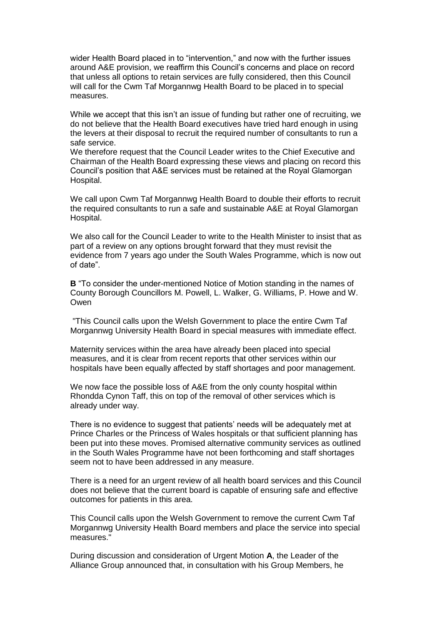wider Health Board placed in to "intervention," and now with the further issues around A&E provision, we reaffirm this Council's concerns and place on record that unless all options to retain services are fully considered, then this Council will call for the Cwm Taf Morgannwg Health Board to be placed in to special measures.

While we accept that this isn't an issue of funding but rather one of recruiting, we do not believe that the Health Board executives have tried hard enough in using the levers at their disposal to recruit the required number of consultants to run a safe service.

We therefore request that the Council Leader writes to the Chief Executive and Chairman of the Health Board expressing these views and placing on record this Council's position that A&E services must be retained at the Royal Glamorgan Hospital.

We call upon Cwm Taf Morgannwg Health Board to double their efforts to recruit the required consultants to run a safe and sustainable A&E at Royal Glamorgan Hospital.

We also call for the Council Leader to write to the Health Minister to insist that as part of a review on any options brought forward that they must revisit the evidence from 7 years ago under the South Wales Programme, which is now out of date".

**B** "To consider the under-mentioned Notice of Motion standing in the names of County Borough Councillors M. Powell, L. Walker, G. Williams, P. Howe and W. Owen

"This Council calls upon the Welsh Government to place the entire Cwm Taf Morgannwg University Health Board in special measures with immediate effect.

Maternity services within the area have already been placed into special measures, and it is clear from recent reports that other services within our hospitals have been equally affected by staff shortages and poor management.

We now face the possible loss of A&E from the only county hospital within Rhondda Cynon Taff, this on top of the removal of other services which is already under way.

There is no evidence to suggest that patients' needs will be adequately met at Prince Charles or the Princess of Wales hospitals or that sufficient planning has been put into these moves. Promised alternative community services as outlined in the South Wales Programme have not been forthcoming and staff shortages seem not to have been addressed in any measure.

There is a need for an urgent review of all health board services and this Council does not believe that the current board is capable of ensuring safe and effective outcomes for patients in this area.

This Council calls upon the Welsh Government to remove the current Cwm Taf Morgannwg University Health Board members and place the service into special measures."

During discussion and consideration of Urgent Motion **A**, the Leader of the Alliance Group announced that, in consultation with his Group Members, he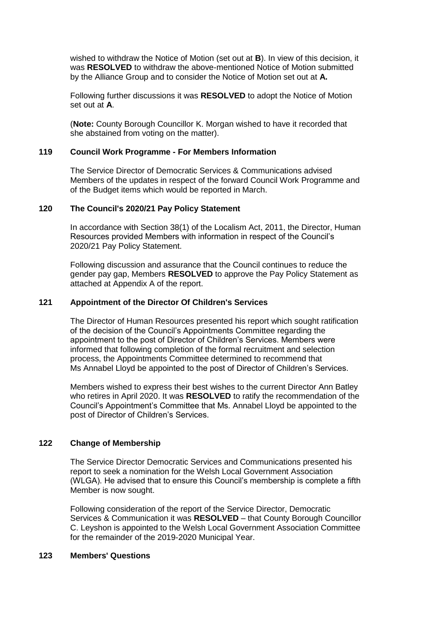wished to withdraw the Notice of Motion (set out at **B**). In view of this decision, it was **RESOLVED** to withdraw the above-mentioned Notice of Motion submitted by the Alliance Group and to consider the Notice of Motion set out at **A.**

Following further discussions it was **RESOLVED** to adopt the Notice of Motion set out at **A**.

(**Note:** County Borough Councillor K. Morgan wished to have it recorded that she abstained from voting on the matter).

# **119 Council Work Programme - For Members Information**

The Service Director of Democratic Services & Communications advised Members of the updates in respect of the forward Council Work Programme and of the Budget items which would be reported in March.

# **120 The Council's 2020/21 Pay Policy Statement**

In accordance with Section 38(1) of the Localism Act, 2011, the Director, Human Resources provided Members with information in respect of the Council's 2020/21 Pay Policy Statement.

Following discussion and assurance that the Council continues to reduce the gender pay gap, Members **RESOLVED** to approve the Pay Policy Statement as attached at Appendix A of the report.

# **121 Appointment of the Director Of Children's Services**

The Director of Human Resources presented his report which sought ratification of the decision of the Council's Appointments Committee regarding the appointment to the post of Director of Children's Services. Members were informed that following completion of the formal recruitment and selection process, the Appointments Committee determined to recommend that Ms Annabel Lloyd be appointed to the post of Director of Children's Services.

Members wished to express their best wishes to the current Director Ann Batley who retires in April 2020. It was **RESOLVED** to ratify the recommendation of the Council's Appointment's Committee that Ms. Annabel Lloyd be appointed to the post of Director of Children's Services.

# **122 Change of Membership**

The Service Director Democratic Services and Communications presented his report to seek a nomination for the Welsh Local Government Association (WLGA). He advised that to ensure this Council's membership is complete a fifth Member is now sought.

Following consideration of the report of the Service Director, Democratic Services & Communication it was **RESOLVED** – that County Borough Councillor C. Leyshon is appointed to the Welsh Local Government Association Committee for the remainder of the 2019-2020 Municipal Year.

# **123 Members' Questions**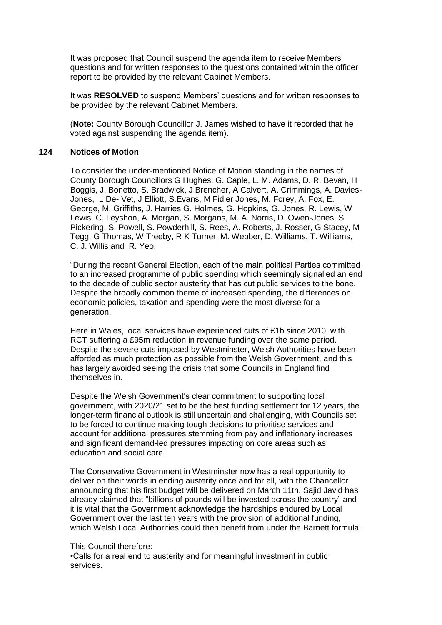It was proposed that Council suspend the agenda item to receive Members' questions and for written responses to the questions contained within the officer report to be provided by the relevant Cabinet Members.

It was **RESOLVED** to suspend Members' questions and for written responses to be provided by the relevant Cabinet Members.

(**Note:** County Borough Councillor J. James wished to have it recorded that he voted against suspending the agenda item).

## **124 Notices of Motion**

**A.** To consider the under-mentioned Notice of Motion standing in the names of County Borough Councillors G Hughes, G. Caple, L. M. Adams, D. R. Bevan, H Boggis, J. Bonetto, S. Bradwick, J Brencher, A Calvert, A. Crimmings, A. Davies-Jones, L De- Vet, J Elliott, S.Evans, M Fidler Jones, M. Forey, A. Fox, E. George, M. Griffiths, J. Harries G. Holmes, G. Hopkins, G. Jones, R. Lewis, W Lewis, C. Leyshon, A. Morgan, S. Morgans, M. A. Norris, D. Owen-Jones, S Pickering, S. Powell, S. Powderhill, S. Rees, A. Roberts, J. Rosser, G Stacey, M Tegg, G Thomas, W Treeby, R K Turner, M. Webber, D. Williams, T. Williams, C. J. Willis and R. Yeo.

"During the recent General Election, each of the main political Parties committed to an increased programme of public spending which seemingly signalled an end to the decade of public sector austerity that has cut public services to the bone. Despite the broadly common theme of increased spending, the differences on economic policies, taxation and spending were the most diverse for a generation.

Here in Wales, local services have experienced cuts of £1b since 2010, with RCT suffering a £95m reduction in revenue funding over the same period. Despite the severe cuts imposed by Westminster, Welsh Authorities have been afforded as much protection as possible from the Welsh Government, and this has largely avoided seeing the crisis that some Councils in England find themselves in.

Despite the Welsh Government's clear commitment to supporting local government, with 2020/21 set to be the best funding settlement for 12 years, the longer-term financial outlook is still uncertain and challenging, with Councils set to be forced to continue making tough decisions to prioritise services and account for additional pressures stemming from pay and inflationary increases and significant demand-led pressures impacting on core areas such as education and social care.

The Conservative Government in Westminster now has a real opportunity to deliver on their words in ending austerity once and for all, with the Chancellor announcing that his first budget will be delivered on March 11th. Sajid Javid has already claimed that "billions of pounds will be invested across the country" and it is vital that the Government acknowledge the hardships endured by Local Government over the last ten years with the provision of additional funding, which Welsh Local Authorities could then benefit from under the Barnett formula.

#### This Council therefore:

•Calls for a real end to austerity and for meaningful investment in public services.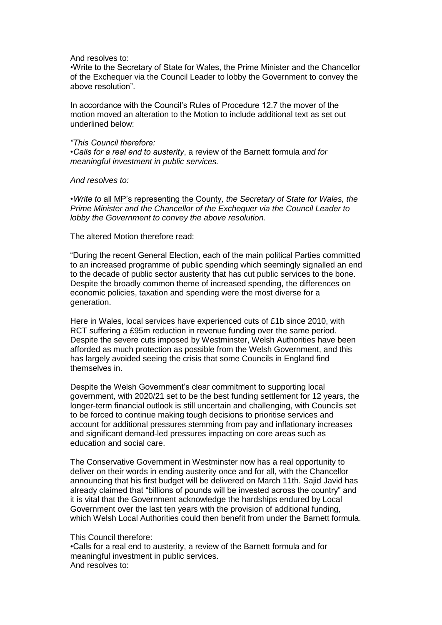And resolves to:

•Write to the Secretary of State for Wales, the Prime Minister and the Chancellor of the Exchequer via the Council Leader to lobby the Government to convey the above resolution".

In accordance with the Council's Rules of Procedure 12.7 the mover of the motion moved an alteration to the Motion to include additional text as set out underlined below:

# *"This Council therefore:*

*•Calls for a real end to austerity*, a review of the Barnett formula *and for meaningful investment in public services.*

*And resolves to:*

*•Write to* all MP's representing the County*, the Secretary of State for Wales, the Prime Minister and the Chancellor of the Exchequer via the Council Leader to lobby the Government to convey the above resolution.*

The altered Motion therefore read:

"During the recent General Election, each of the main political Parties committed to an increased programme of public spending which seemingly signalled an end to the decade of public sector austerity that has cut public services to the bone. Despite the broadly common theme of increased spending, the differences on economic policies, taxation and spending were the most diverse for a generation.

Here in Wales, local services have experienced cuts of £1b since 2010, with RCT suffering a £95m reduction in revenue funding over the same period. Despite the severe cuts imposed by Westminster, Welsh Authorities have been afforded as much protection as possible from the Welsh Government, and this has largely avoided seeing the crisis that some Councils in England find themselves in.

Despite the Welsh Government's clear commitment to supporting local government, with 2020/21 set to be the best funding settlement for 12 years, the longer-term financial outlook is still uncertain and challenging, with Councils set to be forced to continue making tough decisions to prioritise services and account for additional pressures stemming from pay and inflationary increases and significant demand-led pressures impacting on core areas such as education and social care.

The Conservative Government in Westminster now has a real opportunity to deliver on their words in ending austerity once and for all, with the Chancellor announcing that his first budget will be delivered on March 11th. Sajid Javid has already claimed that "billions of pounds will be invested across the country" and it is vital that the Government acknowledge the hardships endured by Local Government over the last ten years with the provision of additional funding, which Welsh Local Authorities could then benefit from under the Barnett formula.

This Council therefore:

•Calls for a real end to austerity, a review of the Barnett formula and for meaningful investment in public services. And resolves to: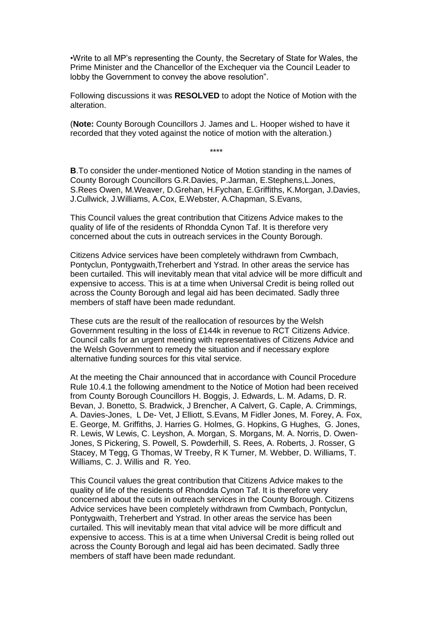•Write to all MP's representing the County, the Secretary of State for Wales, the Prime Minister and the Chancellor of the Exchequer via the Council Leader to lobby the Government to convey the above resolution".

Following discussions it was **RESOLVED** to adopt the Notice of Motion with the alteration.

(**Note:** County Borough Councillors J. James and L. Hooper wished to have it recorded that they voted against the notice of motion with the alteration.)

\*\*\*\*

**B**.To consider the under-mentioned Notice of Motion standing in the names of County Borough Councillors G.R.Davies, P.Jarman, E.Stephens,L.Jones, S.Rees Owen, M.Weaver, D.Grehan, H.Fychan, E.Griffiths, K.Morgan, J.Davies, J.Cullwick, J.Williams, A.Cox, E.Webster, A.Chapman, S.Evans,

This Council values the great contribution that Citizens Advice makes to the quality of life of the residents of Rhondda Cynon Taf. It is therefore very concerned about the cuts in outreach services in the County Borough.

Citizens Advice services have been completely withdrawn from Cwmbach, Pontyclun, Pontygwaith,Treherbert and Ystrad. In other areas the service has been curtailed. This will inevitably mean that vital advice will be more difficult and expensive to access. This is at a time when Universal Credit is being rolled out across the County Borough and legal aid has been decimated. Sadly three members of staff have been made redundant.

These cuts are the result of the reallocation of resources by the Welsh Government resulting in the loss of £144k in revenue to RCT Citizens Advice. Council calls for an urgent meeting with representatives of Citizens Advice and the Welsh Government to remedy the situation and if necessary explore alternative funding sources for this vital service.

At the meeting the Chair announced that in accordance with Council Procedure Rule 10.4.1 the following amendment to the Notice of Motion had been received from County Borough Councillors H. Boggis, J. Edwards, L. M. Adams, D. R. Bevan, J. Bonetto, S. Bradwick, J Brencher, A Calvert, G. Caple, A. Crimmings, A. Davies-Jones, L De- Vet, J Elliott, S.Evans, M Fidler Jones, M. Forey, A. Fox, E. George, M. Griffiths, J. Harries G. Holmes, G. Hopkins, G Hughes, G. Jones, R. Lewis, W Lewis, C. Leyshon, A. Morgan, S. Morgans, M. A. Norris, D. Owen-Jones, S Pickering, S. Powell, S. Powderhill, S. Rees, A. Roberts, J. Rosser, G Stacey, M Tegg, G Thomas, W Treeby, R K Turner, M. Webber, D. Williams, T. Williams, C. J. Willis and R. Yeo.

This Council values the great contribution that Citizens Advice makes to the quality of life of the residents of Rhondda Cynon Taf. It is therefore very concerned about the cuts in outreach services in the County Borough. Citizens Advice services have been completely withdrawn from Cwmbach, Pontyclun, Pontygwaith, Treherbert and Ystrad. In other areas the service has been curtailed. This will inevitably mean that vital advice will be more difficult and expensive to access. This is at a time when Universal Credit is being rolled out across the County Borough and legal aid has been decimated. Sadly three members of staff have been made redundant.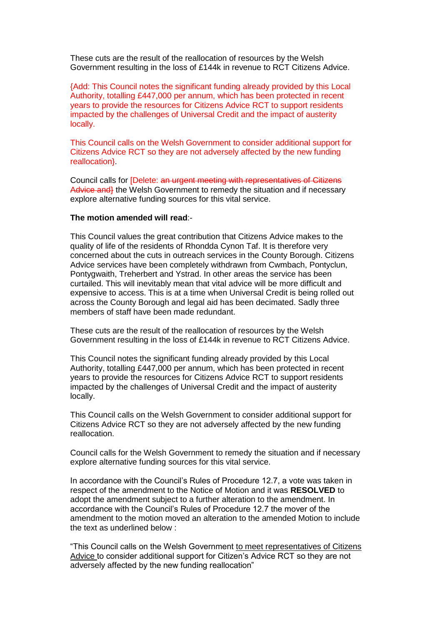These cuts are the result of the reallocation of resources by the Welsh Government resulting in the loss of £144k in revenue to RCT Citizens Advice.

{Add: This Council notes the significant funding already provided by this Local Authority, totalling £447,000 per annum, which has been protected in recent years to provide the resources for Citizens Advice RCT to support residents impacted by the challenges of Universal Credit and the impact of austerity locally.

This Council calls on the Welsh Government to consider additional support for Citizens Advice RCT so they are not adversely affected by the new funding reallocation}.

Council calls for [Delete: an urgent meeting with representatives of Citizens Advice and the Welsh Government to remedy the situation and if necessary explore alternative funding sources for this vital service.

# **The motion amended will read**:-

This Council values the great contribution that Citizens Advice makes to the quality of life of the residents of Rhondda Cynon Taf. It is therefore very concerned about the cuts in outreach services in the County Borough. Citizens Advice services have been completely withdrawn from Cwmbach, Pontyclun, Pontygwaith, Treherbert and Ystrad. In other areas the service has been curtailed. This will inevitably mean that vital advice will be more difficult and expensive to access. This is at a time when Universal Credit is being rolled out across the County Borough and legal aid has been decimated. Sadly three members of staff have been made redundant.

These cuts are the result of the reallocation of resources by the Welsh Government resulting in the loss of £144k in revenue to RCT Citizens Advice.

This Council notes the significant funding already provided by this Local Authority, totalling £447,000 per annum, which has been protected in recent years to provide the resources for Citizens Advice RCT to support residents impacted by the challenges of Universal Credit and the impact of austerity locally.

This Council calls on the Welsh Government to consider additional support for Citizens Advice RCT so they are not adversely affected by the new funding reallocation.

Council calls for the Welsh Government to remedy the situation and if necessary explore alternative funding sources for this vital service.

In accordance with the Council's Rules of Procedure 12.7, a vote was taken in respect of the amendment to the Notice of Motion and it was **RESOLVED** to adopt the amendment subject to a further alteration to the amendment. In accordance with the Council's Rules of Procedure 12.7 the mover of the amendment to the motion moved an alteration to the amended Motion to include the text as underlined below :

"This Council calls on the Welsh Government to meet representatives of Citizens Advice to consider additional support for Citizen's Advice RCT so they are not adversely affected by the new funding reallocation"